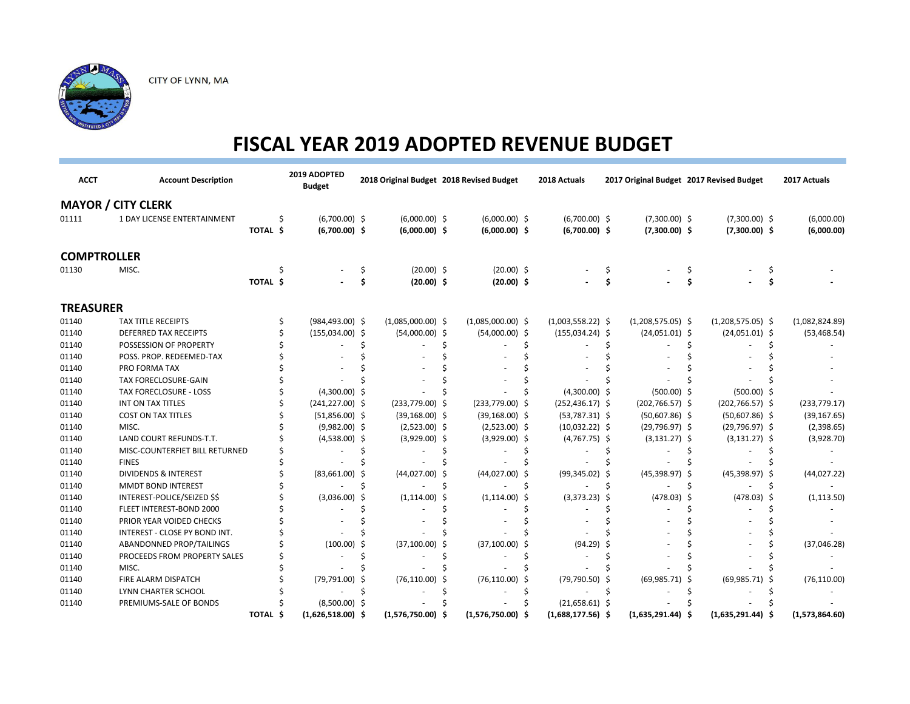

| <b>ACCT</b>        | <b>Account Description</b>         |          | 2019 ADOPTED<br><b>Budget</b> |     | 2018 Original Budget 2018 Revised Budget |    |                     |     | 2018 Actuals        |   |                     |    | 2017 Original Budget 2017 Revised Budget |   | 2017 Actuals   |
|--------------------|------------------------------------|----------|-------------------------------|-----|------------------------------------------|----|---------------------|-----|---------------------|---|---------------------|----|------------------------------------------|---|----------------|
|                    | <b>MAYOR / CITY CLERK</b>          |          |                               |     |                                          |    |                     |     |                     |   |                     |    |                                          |   |                |
| 01111              | <b>1 DAY LICENSE ENTERTAINMENT</b> |          | $(6,700.00)$ \$               |     | $(6,000.00)$ \$                          |    | $(6,000.00)$ \$     |     | $(6,700.00)$ \$     |   | $(7,300.00)$ \$     |    | $(7,300.00)$ \$                          |   | (6,000.00)     |
|                    |                                    | TOTAL \$ | $(6,700.00)$ \$               |     | $(6,000.00)$ \$                          |    | $(6,000.00)$ \$     |     | $(6,700.00)$ \$     |   | $(7,300.00)$ \$     |    | $(7,300.00)$ \$                          |   | (6,000.00)     |
| <b>COMPTROLLER</b> |                                    |          |                               |     |                                          |    |                     |     |                     |   |                     |    |                                          |   |                |
| 01130              | MISC.                              |          |                               | \$. | $(20.00)$ \$                             |    | $(20.00)$ \$        |     |                     |   |                     |    |                                          |   |                |
|                    |                                    | TOTAL \$ |                               | Ś   | $(20.00)$ \$                             |    | $(20.00)$ \$        |     |                     |   |                     |    |                                          |   |                |
| <b>TREASURER</b>   |                                    |          |                               |     |                                          |    |                     |     |                     |   |                     |    |                                          |   |                |
| 01140              | <b>TAX TITLE RECEIPTS</b>          |          | $(984, 493.00)$ \$            |     | $(1,085,000.00)$ \$                      |    | $(1,085,000.00)$ \$ |     | $(1,003,558.22)$ \$ |   | $(1,208,575.05)$ \$ |    | $(1,208,575.05)$ \$                      |   | (1,082,824.89) |
| 01140              | DEFERRED TAX RECEIPTS              |          | $(155,034.00)$ \$             |     | $(54,000.00)$ \$                         |    | $(54,000.00)$ \$    |     | $(155,034.24)$ \$   |   | $(24,051.01)$ \$    |    | $(24,051.01)$ \$                         |   | (53, 468.54)   |
| 01140              | POSSESSION OF PROPERTY             |          |                               |     |                                          |    |                     |     |                     |   |                     |    |                                          |   |                |
| 01140              | POSS. PROP. REDEEMED-TAX           |          |                               |     |                                          |    |                     |     |                     |   |                     |    |                                          |   |                |
| 01140              | PRO FORMA TAX                      |          |                               |     |                                          |    |                     |     |                     |   |                     |    |                                          |   |                |
| 01140              | TAX FORECLOSURE-GAIN               |          |                               |     |                                          |    |                     |     |                     |   |                     |    |                                          |   |                |
| 01140              | <b>TAX FORECLOSURE - LOSS</b>      |          | $(4,300.00)$ \$               |     |                                          |    |                     |     | $(4,300.00)$ \$     |   | $(500.00)$ \$       |    | $(500.00)$ \$                            |   |                |
| 01140              | INT ON TAX TITLES                  |          | $(241, 227.00)$ \$            |     | $(233,779.00)$ \$                        |    | $(233,779.00)$ \$   |     | $(252, 436.17)$ \$  |   | $(202, 766.57)$ \$  |    | $(202, 766.57)$ \$                       |   | (233, 779.17)  |
| 01140              | <b>COST ON TAX TITLES</b>          |          | $(51,856.00)$ \$              |     | $(39, 168.00)$ \$                        |    | $(39, 168.00)$ \$   |     | $(53,787.31)$ \$    |   | $(50,607.86)$ \$    |    | $(50,607.86)$ \$                         |   | (39, 167.65)   |
| 01140              | MISC.                              |          | $(9,982.00)$ \$               |     | $(2,523.00)$ \$                          |    | $(2,523.00)$ \$     |     | $(10,032.22)$ \$    |   | $(29,796.97)$ \$    |    | $(29,796.97)$ \$                         |   | (2,398.65)     |
| 01140              | LAND COURT REFUNDS-T.T.            |          | $(4,538.00)$ \$               |     | $(3,929.00)$ \$                          |    | $(3,929.00)$ \$     |     | $(4,767.75)$ \$     |   | $(3, 131.27)$ \$    |    | $(3, 131.27)$ \$                         |   | (3,928.70)     |
| 01140              | MISC-COUNTERFIET BILL RETURNED     |          |                               |     |                                          |    |                     |     |                     |   |                     |    |                                          |   |                |
| 01140              | <b>FINES</b>                       |          |                               |     |                                          |    |                     |     |                     |   |                     |    |                                          |   |                |
| 01140              | <b>DIVIDENDS &amp; INTEREST</b>    |          | $(83,661.00)$ \$              |     | $(44,027.00)$ \$                         |    | $(44,027.00)$ \$    |     | $(99,345.02)$ \$    |   | $(45,398.97)$ \$    |    | $(45,398.97)$ \$                         |   | (44, 027.22)   |
| 01140              | <b>MMDT BOND INTEREST</b>          |          |                               | Ś   |                                          | Ś  |                     | \$. |                     | Ś |                     | Ŝ. |                                          | Ś |                |
| 01140              | INTEREST-POLICE/SEIZED \$\$        |          | $(3,036.00)$ \$               |     | $(1,114.00)$ \$                          |    | $(1, 114.00)$ \$    |     | $(3,373.23)$ \$     |   | $(478.03)$ \$       |    | $(478.03)$ \$                            |   | (1, 113.50)    |
| 01140              | FLEET INTEREST-BOND 2000           |          |                               |     |                                          |    |                     |     |                     |   |                     |    |                                          |   |                |
| 01140              | PRIOR YEAR VOIDED CHECKS           |          |                               |     |                                          |    |                     |     |                     |   |                     |    |                                          |   |                |
| 01140              | INTEREST - CLOSE PY BOND INT.      |          |                               |     |                                          |    |                     |     |                     |   |                     |    |                                          |   |                |
| 01140              | ABANDONNED PROP/TAILINGS           |          | $(100.00)$ \$                 |     | (37, 100.00)                             | -S | (37, 100.00)        |     | $(94.29)$ \$        |   |                     |    |                                          |   | (37,046.28)    |
| 01140              | PROCEEDS FROM PROPERTY SALES       |          |                               |     |                                          |    |                     |     |                     |   |                     |    |                                          |   |                |
| 01140              | MISC.                              |          |                               |     |                                          |    |                     |     |                     |   |                     |    |                                          |   |                |
| 01140              | FIRE ALARM DISPATCH                |          | $(79, 791.00)$ \$             |     | $(76, 110.00)$ \$                        |    | (76, 110.00)        | -S  | $(79,790.50)$ \$    |   | $(69,985.71)$ \$    |    | (69, 985.71)                             |   | (76, 110.00)   |
| 01140              | LYNN CHARTER SCHOOL                |          |                               |     |                                          |    |                     |     |                     |   |                     |    |                                          |   |                |
| 01140              | PREMIUMS-SALE OF BONDS             |          | $(8,500.00)$ \$               |     |                                          |    |                     |     | $(21,658.61)$ \$    |   |                     |    |                                          |   |                |
|                    |                                    | TOTAL \$ | $(1,626,518.00)$ \$           |     | $(1,576,750.00)$ \$                      |    | $(1,576,750.00)$ \$ |     | $(1,688,177.56)$ \$ |   | $(1,635,291.44)$ \$ |    | $(1,635,291.44)$ \$                      |   | (1,573,864.60) |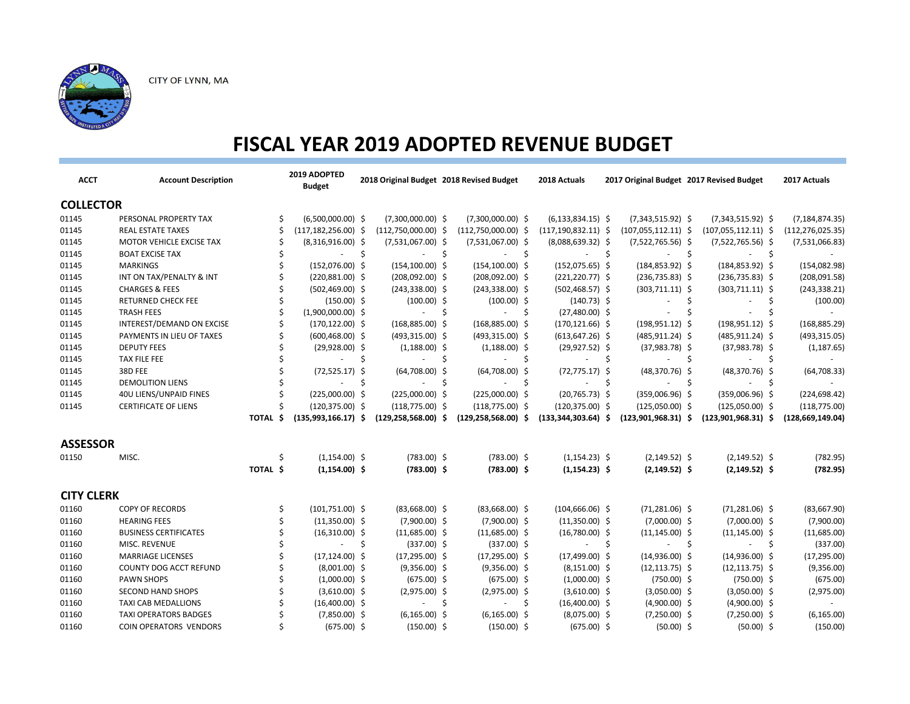

| <b>ACCT</b>       | <b>Account Description</b>    |                    | 2019 ADOPTED<br><b>Budget</b> |    | 2018 Original Budget 2018 Revised Budget |     |                          |     | 2018 Actuals             |    | 2017 Original Budget 2017 Revised Budget |    |                          |    | 2017 Actuals       |
|-------------------|-------------------------------|--------------------|-------------------------------|----|------------------------------------------|-----|--------------------------|-----|--------------------------|----|------------------------------------------|----|--------------------------|----|--------------------|
| <b>COLLECTOR</b>  |                               |                    |                               |    |                                          |     |                          |     |                          |    |                                          |    |                          |    |                    |
| 01145             | PERSONAL PROPERTY TAX         |                    | $(6,500,000.00)$ \$           |    | $(7,300,000.00)$ \$                      |     | $(7,300,000.00)$ \$      |     | $(6, 133, 834.15)$ \$    |    | $(7,343,515.92)$ \$                      |    | $(7,343,515.92)$ \$      |    | (7, 184, 874.35)   |
| 01145             | <b>REAL ESTATE TAXES</b>      |                    | $(117, 182, 256.00)$ \$       |    | $(112,750,000.00)$ \$                    |     | $(112,750,000.00)$ \$    |     | $(117, 190, 832.11)$ \$  |    | $(107,055,112.11)$ \$                    |    | $(107,055,112.11)$ \$    |    | (112, 276, 025.35) |
| 01145             | MOTOR VEHICLE EXCISE TAX      |                    | $(8,316,916.00)$ \$           |    | $(7,531,067.00)$ \$                      |     | $(7,531,067.00)$ \$      |     | $(8,088,639.32)$ \$      |    | $(7,522,765.56)$ \$                      |    | $(7,522,765.56)$ \$      |    | (7,531,066.83)     |
| 01145             | <b>BOAT EXCISE TAX</b>        |                    | $\sim$                        | \$ | $\sim$                                   | \$  | $\sim$                   | \$  | s s<br>$\sim$            |    | $\overline{\phantom{a}}$                 | Ŝ. | $\overline{\phantom{a}}$ | \$ |                    |
| 01145             | <b>MARKINGS</b>               |                    | $(152,076.00)$ \$             |    | $(154, 100.00)$ \$                       |     | $(154, 100.00)$ \$       |     | $(152,075.65)$ \$        |    | $(184, 853.92)$ \$                       |    | $(184, 853.92)$ \$       |    | (154, 082.98)      |
| 01145             | INT ON TAX/PENALTY & INT      |                    | $(220,881.00)$ \$             |    | $(208,092.00)$ \$                        |     | $(208,092.00)$ \$        |     | $(221, 220.77)$ \$       |    | $(236, 735.83)$ \$                       |    | $(236, 735.83)$ \$       |    | (208,091.58)       |
| 01145             | <b>CHARGES &amp; FEES</b>     |                    | $(502, 469.00)$ \$            |    | $(243, 338.00)$ \$                       |     | $(243,338.00)$ \$        |     | $(502, 468.57)$ \$       |    | $(303,711.11)$ \$                        |    | $(303, 711.11)$ \$       |    | (243, 338.21)      |
| 01145             | <b>RETURNED CHECK FEE</b>     |                    | $(150.00)$ \$                 |    | $(100.00)$ \$                            |     | $(100.00)$ \$            |     | $(140.73)$ \$            |    |                                          | Ŝ  |                          | -S | (100.00)           |
| 01145             | <b>TRASH FEES</b>             |                    | $(1,900,000.00)$ \$           |    |                                          | -\$ |                          | \$. | $(27,480.00)$ \$         |    |                                          | Ŝ  |                          | Ŝ. |                    |
| 01145             | INTEREST/DEMAND ON EXCISE     |                    | $(170, 122.00)$ \$            |    | $(168,885.00)$ \$                        |     | $(168,885.00)$ \$        |     | $(170, 121.66)$ \$       |    | $(198, 951.12)$ \$                       |    | $(198, 951.12)$ \$       |    | (168, 885.29)      |
| 01145             | PAYMENTS IN LIEU OF TAXES     |                    | $(600, 468.00)$ \$            |    | $(493,315.00)$ \$                        |     | $(493,315.00)$ \$        |     | $(613, 647.26)$ \$       |    | $(485, 911.24)$ \$                       |    | $(485, 911.24)$ \$       |    | (493, 315.05)      |
| 01145             | <b>DEPUTY FEES</b>            |                    | $(29,928.00)$ \$              |    | $(1,188.00)$ \$                          |     | $(1,188.00)$ \$          |     | $(29, 927.52)$ \$        |    | $(37,983.78)$ \$                         |    | $(37,983.78)$ \$         |    | (1, 187.65)        |
| 01145             | TAX FILE FEE                  |                    | $\sim$                        | \$ | $\sim$                                   | Ŝ.  | $\sim$                   | \$  | ÷.                       | S. | $\blacksquare$                           | Ŝ. | $\overline{\phantom{a}}$ | \$ |                    |
| 01145             | 38D FEE                       |                    | $(72,525.17)$ \$              |    | $(64,708.00)$ \$                         |     | $(64,708.00)$ \$         |     | $(72, 775.17)$ \$        |    | $(48,370.76)$ \$                         |    | $(48,370.76)$ \$         |    | (64, 708.33)       |
| 01145             | <b>DEMOLITION LIENS</b>       |                    | ÷.                            | Ŝ. | $\blacksquare$                           | Ŝ.  | $\sim$                   | Ŝ.  |                          | Ŝ. |                                          | Ś. |                          | Ŝ. |                    |
| 01145             | 40U LIENS/UNPAID FINES        |                    | $(225,000.00)$ \$             |    | $(225,000.00)$ \$                        |     | $(225,000.00)$ \$        |     | $(20, 765.73)$ \$        |    | $(359,006.96)$ \$                        |    | $(359,006.96)$ \$        |    | (224, 698.42)      |
| 01145             | <b>CERTIFICATE OF LIENS</b>   |                    | $(120, 375.00)$ \$            |    | $(118, 775.00)$ \$                       |     | $(118, 775.00)$ \$       |     | $(120, 375.00)$ \$       |    | $(125,050.00)$ \$                        |    | $(125,050.00)$ \$        |    | (118, 775.00)      |
|                   |                               | <b>TOTAL</b><br>Ŝ. | $(135,993,166.17)$ \$         |    | $(129, 258, 568.00)$ \$                  |     | $(129, 258, 568.00)$ \$  |     | $(133,344,303.64)$ \$    |    | $(123,901,968.31)$ \$                    |    | $(123,901,968.31)$ \$    |    | (128, 669, 149.04) |
| <b>ASSESSOR</b>   |                               |                    |                               |    |                                          |     |                          |     |                          |    |                                          |    |                          |    |                    |
| 01150             | MISC.                         | Ś                  | $(1,154.00)$ \$               |    | $(783.00)$ \$                            |     | $(783.00)$ \$            |     | $(1, 154.23)$ \$         |    | $(2, 149.52)$ \$                         |    | $(2, 149.52)$ \$         |    | (782.95)           |
|                   |                               | TOTAL \$           | $(1,154.00)$ \$               |    | $(783.00)$ \$                            |     | $(783.00)$ \$            |     | $(1, 154.23)$ \$         |    | $(2, 149.52)$ \$                         |    | $(2, 149.52)$ \$         |    | (782.95)           |
| <b>CITY CLERK</b> |                               |                    |                               |    |                                          |     |                          |     |                          |    |                                          |    |                          |    |                    |
| 01160             | <b>COPY OF RECORDS</b>        | Ś                  | $(101,751.00)$ \$             |    | $(83,668.00)$ \$                         |     | $(83,668.00)$ \$         |     | $(104, 666.06)$ \$       |    | $(71,281.06)$ \$                         |    | $(71,281.06)$ \$         |    | (83,667.90)        |
| 01160             | <b>HEARING FEES</b>           |                    | $(11,350.00)$ \$              |    | $(7,900.00)$ \$                          |     | $(7,900.00)$ \$          |     | $(11,350.00)$ \$         |    | $(7,000.00)$ \$                          |    | $(7,000.00)$ \$          |    | (7,900.00)         |
| 01160             | <b>BUSINESS CERTIFICATES</b>  |                    | $(16,310.00)$ \$              |    | $(11,685.00)$ \$                         |     | $(11,685.00)$ \$         |     | $(16,780.00)$ \$         |    | $(11, 145.00)$ \$                        |    | $(11, 145.00)$ \$        |    | (11,685.00)        |
| 01160             | MISC. REVENUE                 |                    | $\sim$                        | \$ | $(337.00)$ \$                            |     | $(337.00)$ \$            |     | $\overline{\phantom{a}}$ | Ŝ. | ÷.                                       | Ŝ. | $\blacksquare$           | \$ | (337.00)           |
| 01160             | <b>MARRIAGE LICENSES</b>      |                    | $(17, 124.00)$ \$             |    | $(17,295.00)$ \$                         |     | $(17,295.00)$ \$         |     | $(17,499.00)$ \$         |    | $(14,936.00)$ \$                         |    | $(14,936.00)$ \$         |    | (17, 295.00)       |
| 01160             | COUNTY DOG ACCT REFUND        |                    | $(8,001.00)$ \$               |    | $(9,356.00)$ \$                          |     | $(9,356.00)$ \$          |     | $(8,151.00)$ \$          |    | $(12, 113.75)$ \$                        |    | $(12, 113.75)$ \$        |    | (9,356.00)         |
| 01160             | PAWN SHOPS                    |                    | $(1,000.00)$ \$               |    | $(675.00)$ \$                            |     | $(675.00)$ \$            |     | $(1,000.00)$ \$          |    | $(750.00)$ \$                            |    | $(750.00)$ \$            |    | (675.00)           |
| 01160             | <b>SECOND HAND SHOPS</b>      |                    | $(3,610.00)$ \$               |    | $(2,975.00)$ \$                          |     | $(2,975.00)$ \$          |     | $(3,610.00)$ \$          |    | $(3,050.00)$ \$                          |    | $(3,050.00)$ \$          |    | (2,975.00)         |
| 01160             | <b>TAXI CAB MEDALLIONS</b>    |                    | $(16,400.00)$ \$              |    | $\overline{\phantom{a}}$                 | Ŝ.  | $\overline{\phantom{a}}$ | Ŝ   | $(16,400.00)$ \$         |    | $(4,900.00)$ \$                          |    | $(4,900.00)$ \$          |    |                    |
| 01160             | <b>TAXI OPERATORS BADGES</b>  |                    | $(7,850.00)$ \$               |    | $(6, 165.00)$ \$                         |     | $(6, 165.00)$ \$         |     | $(8,075.00)$ \$          |    | $(7,250.00)$ \$                          |    | $(7,250.00)$ \$          |    | (6, 165.00)        |
| 01160             | <b>COIN OPERATORS VENDORS</b> |                    | $(675.00)$ \$                 |    | $(150.00)$ \$                            |     | $(150.00)$ \$            |     | $(675.00)$ \$            |    | $(50.00)$ \$                             |    | $(50.00)$ \$             |    | (150.00)           |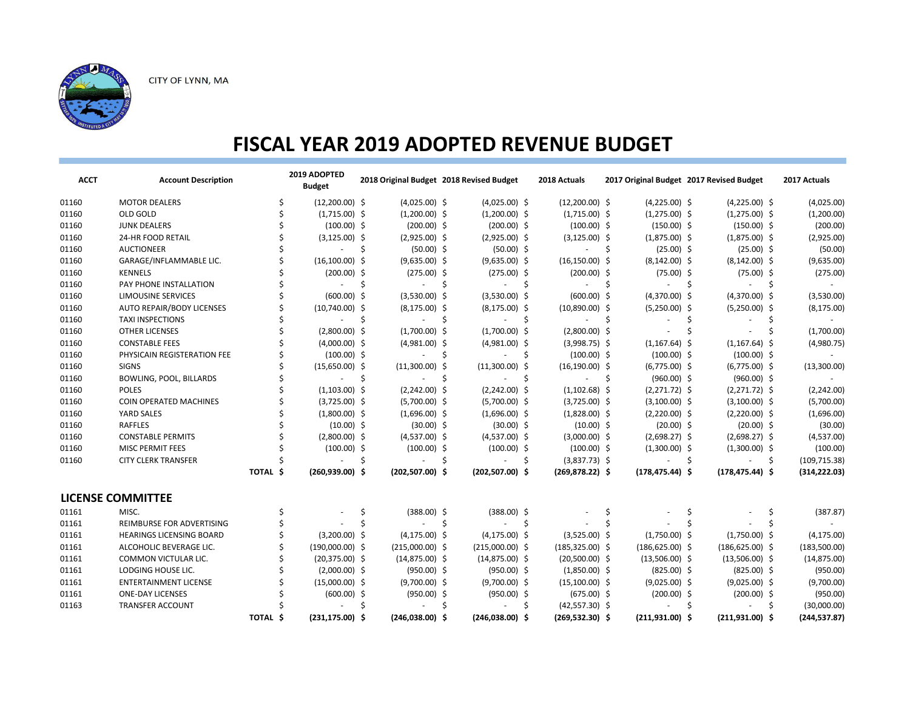

| <b>ACCT</b> | <b>Account Description</b>       |          | 2019 ADOPTED<br><b>Budget</b> |    |                    | 2018 Original Budget 2018 Revised Budget |     | 2018 Actuals             | 2017 Original Budget 2017 Revised Budget |     |                          |     | 2017 Actuals  |
|-------------|----------------------------------|----------|-------------------------------|----|--------------------|------------------------------------------|-----|--------------------------|------------------------------------------|-----|--------------------------|-----|---------------|
| 01160       | <b>MOTOR DEALERS</b>             | Ŝ.       | $(12,200.00)$ \$              |    | $(4,025.00)$ \$    | $(4,025.00)$ \$                          |     | $(12,200.00)$ \$         | $(4,225.00)$ \$                          |     | $(4,225.00)$ \$          |     | (4,025.00)    |
| 01160       | OLD GOLD                         |          | $(1,715.00)$ \$               |    | $(1,200.00)$ \$    | $(1,200.00)$ \$                          |     | $(1,715.00)$ \$          | $(1,275.00)$ \$                          |     | $(1,275.00)$ \$          |     | (1,200.00)    |
| 01160       | <b>JUNK DEALERS</b>              |          | $(100.00)$ \$                 |    | $(200.00)$ \$      | $(200.00)$ \$                            |     | $(100.00)$ \$            | $(150.00)$ \$                            |     | $(150.00)$ \$            |     | (200.00)      |
| 01160       | 24-HR FOOD RETAIL                |          | $(3, 125.00)$ \$              |    | $(2,925.00)$ \$    | $(2,925.00)$ \$                          |     | $(3,125.00)$ \$          | $(1,875.00)$ \$                          |     | $(1,875.00)$ \$          |     | (2,925.00)    |
| 01160       | <b>AUCTIONEER</b>                |          |                               | Ŝ  | $(50.00)$ \$       | $(50.00)$ \$                             |     | $\sim$                   | $(25.00)$ \$<br>-\$                      |     | $(25.00)$ \$             |     | (50.00)       |
| 01160       | GARAGE/INFLAMMABLE LIC.          |          | $(16, 100.00)$ \$             |    | $(9,635.00)$ \$    | $(9,635.00)$ \$                          |     | $(16, 150.00)$ \$        | $(8, 142.00)$ \$                         |     | $(8, 142.00)$ \$         |     | (9,635.00)    |
| 01160       | <b>KENNELS</b>                   |          | $(200.00)$ \$                 |    | $(275.00)$ \$      | $(275.00)$ \$                            |     | $(200.00)$ \$            | $(75.00)$ \$                             |     | $(75.00)$ \$             |     | (275.00)      |
| 01160       | PAY PHONE INSTALLATION           |          | $\sim$                        | \$ | $\sim 100$         | S.<br>$\Delta \sim 100$                  | -\$ | $\mathcal{L}_{\rm{max}}$ | -\$<br>$\sim$                            | Ŝ.  | $\overline{\phantom{a}}$ | \$  |               |
| 01160       | <b>LIMOUSINE SERVICES</b>        |          | $(600.00)$ \$                 |    | $(3,530.00)$ \$    | $(3,530.00)$ \$                          |     | $(600.00)$ \$            | $(4,370.00)$ \$                          |     | $(4,370.00)$ \$          |     | (3,530.00)    |
| 01160       | <b>AUTO REPAIR/BODY LICENSES</b> |          | $(10,740.00)$ \$              |    | $(8, 175.00)$ \$   | $(8, 175.00)$ \$                         |     | $(10,890.00)$ \$         | $(5,250.00)$ \$                          |     | $(5,250.00)$ \$          |     | (8, 175.00)   |
| 01160       | <b>TAXI INSPECTIONS</b>          |          | $\sim$                        | Ŝ  | $\sim 10$          | -Ś<br>$\sim 100$                         | Ŝ.  | $\omega_{\rm{max}}$      | Ŝ<br>$\overline{\phantom{a}}$            | Ŝ.  | $\overline{\phantom{a}}$ | \$. | $\sim$        |
| 01160       | <b>OTHER LICENSES</b>            |          | $(2,800.00)$ \$               |    | $(1,700.00)$ \$    | $(1,700.00)$ \$                          |     | $(2,800.00)$ \$          |                                          |     |                          |     | (1,700.00)    |
| 01160       | <b>CONSTABLE FEES</b>            |          | $(4,000.00)$ \$               |    | $(4,981.00)$ \$    | $(4,981.00)$ \$                          |     | $(3,998.75)$ \$          | $(1, 167.64)$ \$                         |     | $(1, 167.64)$ \$         |     | (4,980.75)    |
| 01160       | PHYSICAIN REGISTERATION FEE      |          | $(100.00)$ \$                 |    | $\sim$             | S<br>$\sim 100$                          | S   | $(100.00)$ \$            | $(100.00)$ \$                            |     | $(100.00)$ \$            |     |               |
| 01160       | <b>SIGNS</b>                     |          | $(15,650.00)$ \$              |    | $(11,300.00)$ \$   | $(11,300.00)$ \$                         |     | $(16, 190.00)$ \$        | $(6,775.00)$ \$                          |     | $(6,775.00)$ \$          |     | (13,300.00)   |
| 01160       | BOWLING, POOL, BILLARDS          |          | $\sim$                        | Ŝ  | $\sim$             | Ŝ<br>$\sim$                              | Ŝ   | $\overline{\phantom{a}}$ | $(960.00)$ \$<br>Ŝ.                      |     | $(960.00)$ \$            |     |               |
| 01160       | <b>POLES</b>                     |          | $(1,103.00)$ \$               |    | $(2,242.00)$ \$    | $(2,242.00)$ \$                          |     | $(1,102.68)$ \$          | $(2,271.72)$ \$                          |     | $(2,271.72)$ \$          |     | (2,242.00)    |
| 01160       | <b>COIN OPERATED MACHINES</b>    |          | $(3,725.00)$ \$               |    | $(5,700.00)$ \$    | $(5,700.00)$ \$                          |     | $(3,725.00)$ \$          | $(3,100.00)$ \$                          |     | $(3,100.00)$ \$          |     | (5,700.00)    |
| 01160       | YARD SALES                       |          | $(1,800.00)$ \$               |    | $(1,696.00)$ \$    | $(1,696.00)$ \$                          |     | $(1,828.00)$ \$          | $(2,220.00)$ \$                          |     | $(2,220.00)$ \$          |     | (1,696.00)    |
| 01160       | RAFFLES                          |          | $(10.00)$ \$                  |    | $(30.00)$ \$       | $(30.00)$ \$                             |     | $(10.00)$ \$             | $(20.00)$ \$                             |     | $(20.00)$ \$             |     | (30.00)       |
| 01160       | <b>CONSTABLE PERMITS</b>         |          | $(2,800.00)$ \$               |    | $(4,537.00)$ \$    | $(4,537.00)$ \$                          |     | $(3,000.00)$ \$          | $(2,698.27)$ \$                          |     | $(2,698.27)$ \$          |     | (4,537.00)    |
| 01160       | <b>MISC PERMIT FEES</b>          |          | $(100.00)$ \$                 |    | $(100.00)$ \$      | $(100.00)$ \$                            |     | $(100.00)$ \$            | $(1,300.00)$ \$                          |     | $(1,300.00)$ \$          |     | (100.00)      |
| 01160       | <b>CITY CLERK TRANSFER</b>       |          | $\sim$                        | \$ | $\sim$             | \$<br>$\sim 100$                         | \$  | $(3,837.73)$ \$          | $\sim$                                   | -\$ | $\sim$                   | -\$ | (109, 715.38) |
|             |                                  | TOTAL \$ | $(260, 939.00)$ \$            |    | $(202, 507.00)$ \$ | $(202, 507.00)$ \$                       |     | $(269, 878.22)$ \$       | $(178, 475.44)$ \$                       |     | $(178, 475.44)$ \$       |     | (314, 222.03) |
|             | <b>LICENSE COMMITTEE</b>         |          |                               |    |                    |                                          |     |                          |                                          |     |                          |     |               |
| 01161       | MISC.                            |          |                               | Ŝ  | $(388.00)$ \$      | $(388.00)$ \$                            |     |                          |                                          |     |                          |     | (387.87)      |
| 01161       | REIMBURSE FOR ADVERTISING        |          |                               |    |                    | Ŝ<br>$\sim$                              | Ŝ   |                          |                                          |     |                          |     |               |
| 01161       | <b>HEARINGS LICENSING BOARD</b>  |          | $(3,200.00)$ \$               |    | $(4, 175.00)$ \$   | $(4, 175.00)$ \$                         |     | $(3,525.00)$ \$          | $(1,750.00)$ \$                          |     | $(1,750.00)$ \$          |     | (4, 175.00)   |
| 01161       | ALCOHOLIC BEVERAGE LIC.          |          | $(190,000.00)$ \$             |    | $(215,000.00)$ \$  | $(215,000.00)$ \$                        |     | $(185, 325.00)$ \$       | $(186, 625.00)$ \$                       |     | $(186, 625.00)$ \$       |     | (183,500.00)  |
| 01161       | COMMON VICTULAR LIC.             |          | $(20,375.00)$ \$              |    | $(14,875.00)$ \$   | $(14,875.00)$ \$                         |     | $(20,500.00)$ \$         | $(13,506.00)$ \$                         |     | $(13,506.00)$ \$         |     | (14, 875.00)  |
| 01161       | LODGING HOUSE LIC.               |          | $(2,000.00)$ \$               |    | $(950.00)$ \$      | $(950.00)$ \$                            |     | $(1,850.00)$ \$          | $(825.00)$ \$                            |     | $(825.00)$ \$            |     | (950.00)      |
| 01161       | <b>ENTERTAINMENT LICENSE</b>     |          | $(15,000.00)$ \$              |    | $(9,700.00)$ \$    | $(9,700.00)$ \$                          |     | $(15,100.00)$ \$         | $(9,025.00)$ \$                          |     | $(9,025.00)$ \$          |     | (9,700.00)    |
| 01161       | <b>ONE-DAY LICENSES</b>          |          | $(600.00)$ \$                 |    | $(950.00)$ \$      | $(950.00)$ \$                            |     | $(675.00)$ \$            | $(200.00)$ \$                            |     | $(200.00)$ \$            |     | (950.00)      |
| 01163       | <b>TRANSFER ACCOUNT</b>          |          |                               |    | ÷.                 | Ś                                        |     | $(42,557.30)$ \$         | $\sim$                                   | Ŝ.  |                          | Ŝ.  | (30,000.00)   |
|             |                                  | TOTAL \$ | $(231, 175.00)$ \$            |    | $(246,038.00)$ \$  | $(246,038.00)$ \$                        |     | $(269, 532.30)$ \$       | $(211, 931.00)$ \$                       |     | $(211, 931.00)$ \$       |     | (244, 537.87) |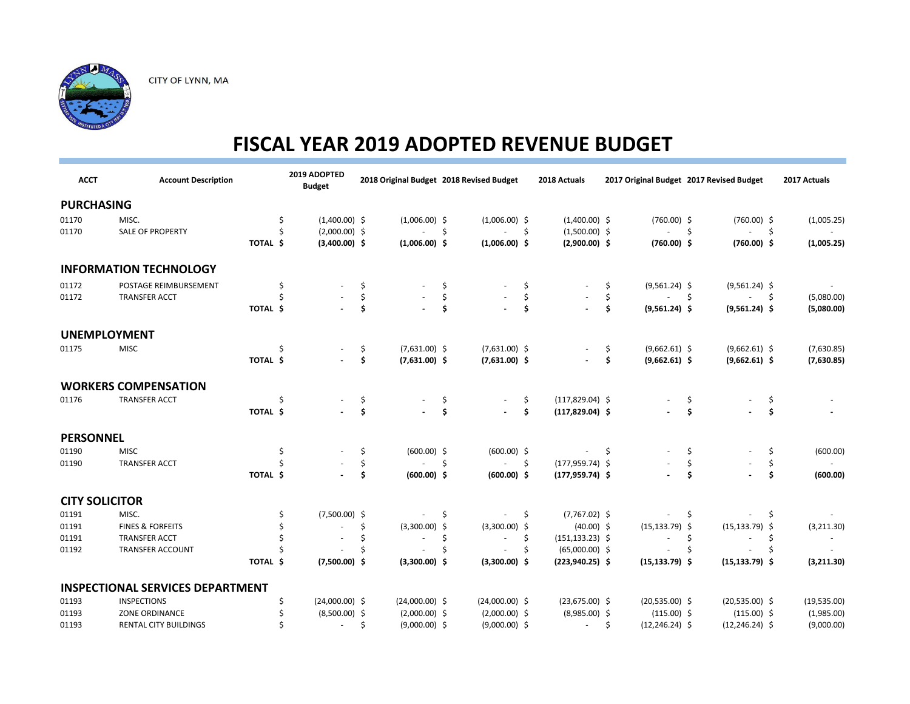

| <b>ACCT</b>           | <b>Account Description</b>              |          | 2019 ADOPTED<br><b>Budget</b> |     | 2018 Original Budget 2018 Revised Budget |     |                  |     | 2018 Actuals       |     | 2017 Original Budget 2017 Revised Budget |                     |                          |                     | 2017 Actuals |
|-----------------------|-----------------------------------------|----------|-------------------------------|-----|------------------------------------------|-----|------------------|-----|--------------------|-----|------------------------------------------|---------------------|--------------------------|---------------------|--------------|
| <b>PURCHASING</b>     |                                         |          |                               |     |                                          |     |                  |     |                    |     |                                          |                     |                          |                     |              |
| 01170                 | MISC.                                   |          | $(1,400.00)$ \$<br>\$         |     | $(1,006.00)$ \$                          |     | $(1,006.00)$ \$  |     | $(1,400.00)$ \$    |     | $(760.00)$ \$                            |                     | $(760.00)$ \$            |                     | (1,005.25)   |
| 01170                 | SALE OF PROPERTY                        |          | Ś<br>$(2,000.00)$ \$          |     |                                          | \$  |                  | \$  | $(1,500.00)$ \$    |     |                                          | -\$                 | $\omega$                 | \$                  |              |
|                       |                                         | TOTAL \$ | $(3,400.00)$ \$               |     | $(1,006.00)$ \$                          |     | $(1,006.00)$ \$  |     | $(2,900.00)$ \$    |     | $(760.00)$ \$                            |                     | $(760.00)$ \$            |                     | (1,005.25)   |
|                       | <b>INFORMATION TECHNOLOGY</b>           |          |                               |     |                                          |     |                  |     |                    |     |                                          |                     |                          |                     |              |
| 01172                 | POSTAGE REIMBURSEMENT                   |          | \$                            | \$  |                                          | \$  |                  | \$  |                    | \$  | $(9,561.24)$ \$                          |                     | $(9,561.24)$ \$          |                     |              |
| 01172                 | <b>TRANSFER ACCT</b>                    |          |                               | \$  |                                          | \$  |                  | \$  |                    | \$  |                                          | $\ddot{\mathsf{S}}$ | $\overline{\phantom{a}}$ | $\ddot{\mathsf{S}}$ | (5,080.00)   |
|                       |                                         | TOTAL \$ |                               | \$  |                                          | \$  |                  | \$  |                    | \$  | $(9,561.24)$ \$                          |                     | $(9,561.24)$ \$          |                     | (5,080.00)   |
|                       | <b>UNEMPLOYMENT</b>                     |          |                               |     |                                          |     |                  |     |                    |     |                                          |                     |                          |                     |              |
| 01175                 | <b>MISC</b>                             |          | \$                            | \$. | $(7,631.00)$ \$                          |     | $(7,631.00)$ \$  |     |                    | \$  | $(9,662.61)$ \$                          |                     | $(9,662.61)$ \$          |                     | (7,630.85)   |
|                       |                                         | TOTAL \$ |                               | \$  | $(7,631.00)$ \$                          |     | $(7,631.00)$ \$  |     |                    | \$  | $(9,662.61)$ \$                          |                     | $(9,662.61)$ \$          |                     | (7,630.85)   |
|                       | <b>WORKERS COMPENSATION</b>             |          |                               |     |                                          |     |                  |     |                    |     |                                          |                     |                          |                     |              |
| 01176                 | <b>TRANSFER ACCT</b>                    |          | Ś                             | \$. |                                          | \$  |                  | \$  | $(117,829.04)$ \$  |     |                                          | \$                  |                          | \$                  |              |
|                       |                                         | TOTAL \$ |                               | \$  |                                          | \$  |                  | \$  | $(117, 829.04)$ \$ |     |                                          | \$                  |                          | \$                  |              |
| <b>PERSONNEL</b>      |                                         |          |                               |     |                                          |     |                  |     |                    |     |                                          |                     |                          |                     |              |
| 01190                 | <b>MISC</b>                             |          | \$                            | \$. | $(600.00)$ \$                            |     | $(600.00)$ \$    |     |                    | -\$ |                                          | \$                  |                          | \$                  | (600.00)     |
| 01190                 | <b>TRANSFER ACCT</b>                    |          |                               | \$  |                                          | \$  | $\sim 100$       | \$  | $(177, 959.74)$ \$ |     |                                          | \$                  |                          | \$                  | $\sim$       |
|                       |                                         | TOTAL \$ |                               | \$  | $(600.00)$ \$                            |     | $(600.00)$ \$    |     | $(177, 959.74)$ \$ |     |                                          | \$                  |                          | \$                  | (600.00)     |
| <b>CITY SOLICITOR</b> |                                         |          |                               |     |                                          |     |                  |     |                    |     |                                          |                     |                          |                     |              |
| 01191                 | MISC.                                   |          | $(7,500.00)$ \$<br>S          |     |                                          | \$. |                  | \$. | $(7,767.02)$ \$    |     |                                          | \$.                 |                          | -\$                 |              |
| 01191                 | <b>FINES &amp; FORFEITS</b>             |          |                               | \$  | $(3,300.00)$ \$                          |     | $(3,300.00)$ \$  |     | $(40.00)$ \$       |     | $(15, 133.79)$ \$                        |                     | $(15, 133.79)$ \$        |                     | (3,211.30)   |
| 01191                 | <b>TRANSFER ACCT</b>                    |          |                               |     |                                          | \$  | $\sim$           | \$  | $(151, 133.23)$ \$ |     |                                          | \$                  |                          | \$                  | $\sim$       |
| 01192                 | <b>TRANSFER ACCOUNT</b>                 |          |                               |     |                                          | Ś   |                  | S   | $(65,000.00)$ \$   |     |                                          |                     |                          | Ś                   |              |
|                       |                                         | TOTAL \$ | $(7,500.00)$ \$               |     | $(3,300.00)$ \$                          |     | $(3,300.00)$ \$  |     | $(223,940.25)$ \$  |     | $(15, 133.79)$ \$                        |                     | $(15, 133.79)$ \$        |                     | (3,211.30)   |
|                       | <b>INSPECTIONAL SERVICES DEPARTMENT</b> |          |                               |     |                                          |     |                  |     |                    |     |                                          |                     |                          |                     |              |
| 01193                 | <b>INSPECTIONS</b>                      |          | $(24,000.00)$ \$              |     | $(24,000.00)$ \$                         |     | $(24,000.00)$ \$ |     | $(23,675.00)$ \$   |     | $(20,535.00)$ \$                         |                     | $(20,535.00)$ \$         |                     | (19,535.00)  |
| 01193                 | ZONE ORDINANCE                          |          | $(8,500.00)$ \$               |     | $(2,000.00)$ \$                          |     | $(2,000.00)$ \$  |     | $(8,985.00)$ \$    |     | $(115.00)$ \$                            |                     | $(115.00)$ \$            |                     | (1,985.00)   |
| 01193                 | <b>RENTAL CITY BUILDINGS</b>            |          |                               |     | $(9,000.00)$ \$                          |     | $(9,000.00)$ \$  |     | $\sim$             | \$. | $(12, 246.24)$ \$                        |                     | $(12, 246.24)$ \$        |                     | (9,000.00)   |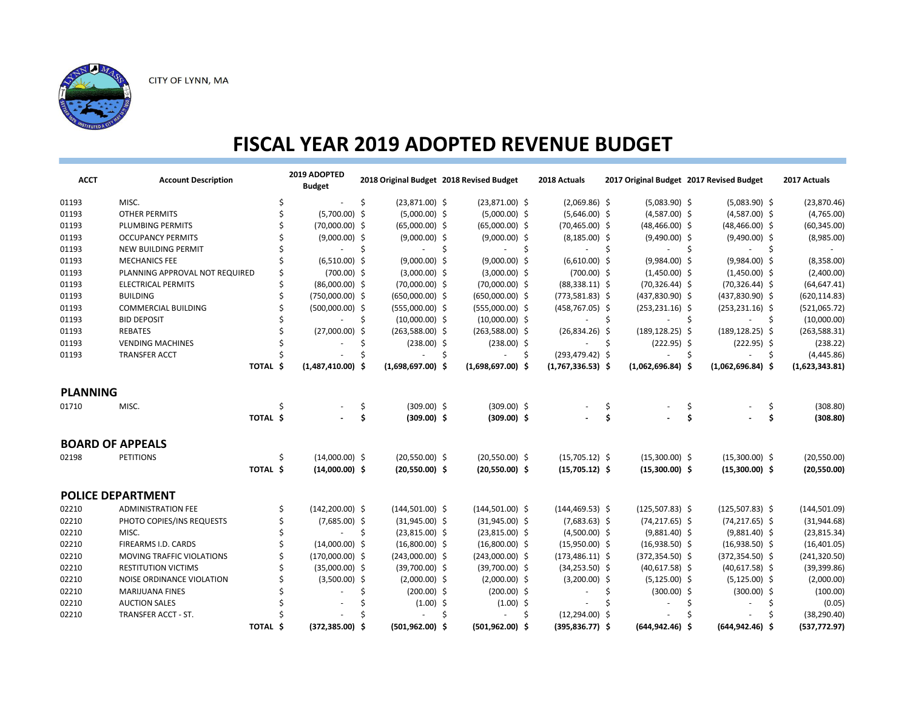

| <b>ACCT</b>     | <b>Account Description</b>                  |          | 2019 ADOPTED<br><b>Budget</b> |     |                                  |     | 2018 Original Budget 2018 Revised Budget |     | 2018 Actuals        |      | 2017 Original Budget 2017 Revised Budget |                    |                          |     | 2017 Actuals                  |
|-----------------|---------------------------------------------|----------|-------------------------------|-----|----------------------------------|-----|------------------------------------------|-----|---------------------|------|------------------------------------------|--------------------|--------------------------|-----|-------------------------------|
| 01193           | MISC.                                       | \$       |                               | \$  | $(23,871.00)$ \$                 |     | $(23,871.00)$ \$                         |     | $(2,069.86)$ \$     |      | $(5,083.90)$ \$                          |                    | $(5,083.90)$ \$          |     | (23,870.46)                   |
| 01193           | <b>OTHER PERMITS</b>                        |          | $(5,700.00)$ \$               |     | $(5,000.00)$ \$                  |     | $(5,000.00)$ \$                          |     | $(5,646.00)$ \$     |      | $(4,587.00)$ \$                          |                    | $(4,587.00)$ \$          |     | (4,765.00)                    |
| 01193           | PLUMBING PERMITS                            |          | $(70,000.00)$ \$              |     | $(65,000.00)$ \$                 |     | $(65,000.00)$ \$                         |     | $(70, 465.00)$ \$   |      | $(48, 466.00)$ \$                        |                    | $(48, 466.00)$ \$        |     | (60, 345.00)                  |
| 01193           | <b>OCCUPANCY PERMITS</b>                    |          | $(9,000.00)$ \$               |     | $(9,000.00)$ \$                  |     | $(9,000.00)$ \$                          |     | $(8, 185.00)$ \$    |      | $(9,490.00)$ \$                          |                    | $(9,490.00)$ \$          |     | (8,985.00)                    |
| 01193           | <b>NEW BUILDING PERMIT</b>                  |          | $\sim 10^{-1}$                | Ŝ.  | $\mathcal{L}_{\rm{max}}$         | -\$ | $\Delta \sim 100$                        | \$. | $-5$                |      | $\sim$                                   | -\$                | $\blacksquare$           | -\$ | $\sim$                        |
| 01193           | <b>MECHANICS FEE</b>                        |          | $(6,510.00)$ \$               |     | $(9,000.00)$ \$                  |     | $(9,000.00)$ \$                          |     | $(6,610.00)$ \$     |      | $(9,984.00)$ \$                          |                    | $(9,984.00)$ \$          |     | (8,358.00)                    |
| 01193           | PLANNING APPROVAL NOT REQUIRED              |          | $(700.00)$ \$                 |     | $(3,000.00)$ \$                  |     | $(3,000.00)$ \$                          |     | $(700.00)$ \$       |      | $(1,450.00)$ \$                          |                    | $(1,450.00)$ \$          |     | (2,400.00)                    |
| 01193           | <b>ELECTRICAL PERMITS</b>                   |          | $(86,000.00)$ \$              |     | $(70,000.00)$ \$                 |     | $(70,000.00)$ \$                         |     | $(88,338.11)$ \$    |      | $(70, 326.44)$ \$                        |                    | $(70,326.44)$ \$         |     | (64, 647.41)                  |
| 01193           | <b>BUILDING</b>                             |          | $(750,000.00)$ \$             |     | $(650,000.00)$ \$                |     | $(650,000.00)$ \$                        |     | $(773,581.83)$ \$   |      | $(437, 830.90)$ \$                       |                    | $(437,830.90)$ \$        |     | (620, 114.83)                 |
| 01193           | <b>COMMERCIAL BUILDING</b>                  |          | $(500,000.00)$ \$             |     | $(555,000.00)$ \$                |     | $(555,000.00)$ \$                        |     | $(458, 767.05)$ \$  |      | $(253, 231.16)$ \$                       |                    | $(253, 231.16)$ \$       |     | (521,065.72)                  |
| 01193           | <b>BID DEPOSIT</b>                          |          |                               | -\$ | $(10,000.00)$ \$                 |     | $(10,000.00)$ \$                         |     |                     | - \$ |                                          | -Ś                 |                          | -\$ | (10,000.00)                   |
| 01193           | <b>REBATES</b>                              |          | $(27,000.00)$ \$              |     | $(263,588.00)$ \$                |     | $(263,588.00)$ \$                        |     | $(26,834.26)$ \$    |      | $(189, 128.25)$ \$                       |                    | $(189, 128.25)$ \$       |     | (263, 588.31)                 |
| 01193           | <b>VENDING MACHINES</b>                     |          |                               | \$  | $(238.00)$ \$                    |     | $(238.00)$ \$                            |     | $-5$                |      | $(222.95)$ \$                            |                    | $(222.95)$ \$            |     | (238.22)                      |
| 01193           | <b>TRANSFER ACCT</b>                        |          |                               |     | ÷.                               | Ŝ.  | $\sim 100$                               | -\$ | $(293, 479.42)$ \$  |      |                                          | $\mathsf{\hat{S}}$ | $\overline{\phantom{a}}$ | \$  | (4,445.86)                    |
|                 |                                             | TOTAL \$ | $(1,487,410.00)$ \$           |     | $(1,698,697.00)$ \$              |     | $(1,698,697.00)$ \$                      |     | $(1,767,336.53)$ \$ |      | $(1,062,696.84)$ \$                      |                    | $(1,062,696.84)$ \$      |     | (1,623,343.81)                |
| <b>PLANNING</b> |                                             |          |                               |     |                                  |     |                                          |     |                     |      |                                          |                    |                          |     |                               |
| 01710           | MISC.                                       | Ś        |                               | \$  | $(309.00)$ \$                    |     | $(309.00)$ \$                            |     |                     | \$   |                                          | S                  |                          | \$  | (308.80)                      |
|                 |                                             | TOTAL \$ |                               | \$  | $(309.00)$ \$                    |     | $(309.00)$ \$                            |     |                     | \$   |                                          | \$                 |                          | \$. | (308.80)                      |
|                 | <b>BOARD OF APPEALS</b>                     |          |                               |     |                                  |     |                                          |     |                     |      |                                          |                    |                          |     |                               |
| 02198           | <b>PETITIONS</b>                            | Ś        | $(14,000.00)$ \$              |     | $(20,550.00)$ \$                 |     | $(20,550.00)$ \$                         |     | $(15,705.12)$ \$    |      | $(15,300.00)$ \$                         |                    | $(15,300.00)$ \$         |     | (20, 550.00)                  |
|                 |                                             | TOTAL \$ | $(14,000.00)$ \$              |     | $(20,550.00)$ \$                 |     | $(20,550.00)$ \$                         |     | $(15,705.12)$ \$    |      | $(15,300.00)$ \$                         |                    | $(15,300.00)$ \$         |     | (20,550.00)                   |
|                 | <b>POLICE DEPARTMENT</b>                    |          |                               |     |                                  |     |                                          |     |                     |      |                                          |                    |                          |     |                               |
| 02210           | <b>ADMINISTRATION FEE</b>                   |          | $(142, 200.00)$ \$            |     | $(144, 501.00)$ \$               |     | $(144, 501.00)$ \$                       |     | $(144, 469.53)$ \$  |      | $(125,507.83)$ \$                        |                    | $(125,507.83)$ \$        |     | (144, 501.09)                 |
| 02210           | PHOTO COPIES/INS REQUESTS                   |          | $(7,685.00)$ \$               |     | $(31,945.00)$ \$                 |     | $(31,945.00)$ \$                         |     | $(7,683.63)$ \$     |      | $(74, 217.65)$ \$                        |                    | $(74, 217.65)$ \$        |     | (31, 944.68)                  |
| 02210           | MISC.                                       |          | $\sim 10^{-1}$                | Ŝ.  | $(23,815.00)$ \$                 |     | $(23,815.00)$ \$                         |     | $(4,500.00)$ \$     |      | $(9,881.40)$ \$                          |                    | $(9,881.40)$ \$          |     | (23, 815.34)                  |
| 02210           | FIREARMS I.D. CARDS                         |          | $(14,000.00)$ \$              |     | $(16,800.00)$ \$                 |     | $(16,800.00)$ \$                         |     | $(15,950.00)$ \$    |      | $(16,938.50)$ \$                         |                    | $(16,938.50)$ \$         |     | (16, 401.05)                  |
| 02210           | MOVING TRAFFIC VIOLATIONS                   |          | $(170,000.00)$ \$             |     | $(243,000.00)$ \$                |     | $(243,000.00)$ \$                        |     | $(173, 486.11)$ \$  |      | $(372, 354.50)$ \$                       |                    | $(372, 354.50)$ \$       |     | (241, 320.50)                 |
| 02210           | <b>RESTITUTION VICTIMS</b>                  |          | $(35,000.00)$ \$              |     | $(39,700.00)$ \$                 |     | $(39,700.00)$ \$                         |     | $(34, 253.50)$ \$   |      | $(40,617.58)$ \$                         |                    | $(40,617.58)$ \$         |     | (39, 399.86)                  |
|                 |                                             |          |                               |     |                                  |     |                                          |     |                     |      |                                          |                    |                          |     |                               |
| 02210<br>02210  | NOISE ORDINANCE VIOLATION                   |          | $(3,500.00)$ \$               |     | $(2,000.00)$ \$<br>$(200.00)$ \$ |     | $(2,000.00)$ \$                          |     | $(3,200.00)$ \$     |      | $(5, 125.00)$ \$                         |                    | $(5, 125.00)$ \$         |     | (2,000.00)                    |
|                 | <b>MARIJUANA FINES</b>                      |          |                               |     |                                  |     | $(200.00)$ \$                            |     |                     | \$   | $(300.00)$ \$                            |                    | $(300.00)$ \$            |     | (100.00)                      |
| 02210<br>02210  | <b>AUCTION SALES</b><br>TRANSFER ACCT - ST. |          |                               |     | $(1.00)$ \$                      | \$  | $(1.00)$ \$                              |     | $(12, 294.00)$ \$   | \$   |                                          | Ŝ.                 |                          | \$  | (0.05)                        |
|                 |                                             | TOTAL \$ | $(372, 385.00)$ \$            |     | $(501, 962.00)$ \$               |     | $(501, 962.00)$ \$                       | \$  | $(395, 836.77)$ \$  |      | $(644, 942.46)$ \$                       |                    | $(644, 942.46)$ \$       |     | (38, 290.40)<br>(537, 772.97) |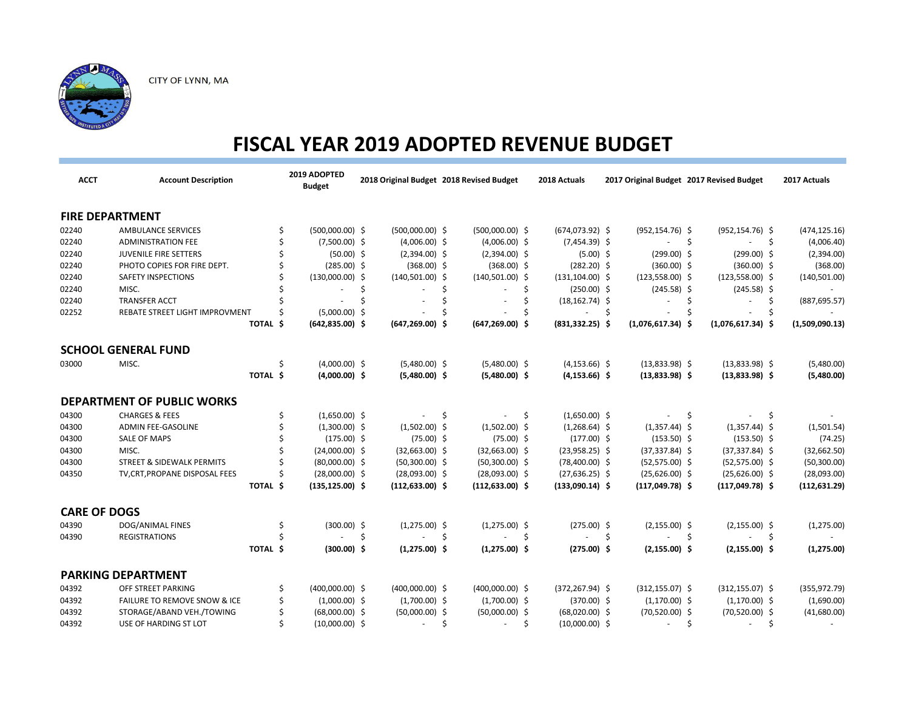

| <b>ACCT</b>         | <b>Account Description</b>              |          | 2019 ADOPTED<br><b>Budget</b> |     |                    | 2018 Original Budget 2018 Revised Budget |     | 2018 Actuals             | 2017 Original Budget 2017 Revised Budget |     |                                | 2017 Actuals   |
|---------------------|-----------------------------------------|----------|-------------------------------|-----|--------------------|------------------------------------------|-----|--------------------------|------------------------------------------|-----|--------------------------------|----------------|
|                     | <b>FIRE DEPARTMENT</b>                  |          |                               |     |                    |                                          |     |                          |                                          |     |                                |                |
| 02240               | <b>AMBULANCE SERVICES</b>               |          | $(500,000.00)$ \$             |     | $(500,000.00)$ \$  | $(500,000.00)$ \$                        |     | $(674, 073.92)$ \$       | $(952, 154.76)$ \$                       |     | $(952, 154.76)$ \$             | (474, 125.16)  |
| 02240               | <b>ADMINISTRATION FEE</b>               |          | $(7,500.00)$ \$               |     | $(4,006.00)$ \$    | $(4,006.00)$ \$                          |     | $(7,454.39)$ \$          |                                          | -\$ | - \$                           | (4,006.40)     |
| 02240               | <b>JUVENILE FIRE SETTERS</b>            |          | $(50.00)$ \$                  |     | $(2,394.00)$ \$    | $(2,394.00)$ \$                          |     | $(5.00)$ \$              | $(299.00)$ \$                            |     | $(299.00)$ \$                  | (2,394.00)     |
| 02240               | PHOTO COPIES FOR FIRE DEPT.             |          | $(285.00)$ \$                 |     | $(368.00)$ \$      | $(368.00)$ \$                            |     | $(282.20)$ \$            | $(360.00)$ \$                            |     | $(360.00)$ \$                  | (368.00)       |
| 02240               | SAFETY INSPECTIONS                      |          | $(130,000.00)$ \$             |     | $(140,501.00)$ \$  | $(140,501.00)$ \$                        |     | $(131, 104.00)$ \$       | $(123,558.00)$ \$                        |     | $(123,558.00)$ \$              | (140, 501.00)  |
| 02240               | MISC.                                   |          |                               | \$  |                    | Ŝ                                        | Ś   | $(250.00)$ \$            | $(245.58)$ \$                            |     | $(245.58)$ \$                  |                |
| 02240               | <b>TRANSFER ACCT</b>                    |          |                               | Ś   |                    | ٠                                        |     | $(18, 162.74)$ \$        |                                          | \$  | \$                             | (887, 695.57)  |
| 02252               | REBATE STREET LIGHT IMPROVMENT          |          | (5,000.00)                    | -\$ |                    |                                          |     |                          | Ŝ                                        |     |                                |                |
|                     |                                         | TOTAL \$ | $(642, 835.00)$ \$            |     | $(647, 269.00)$ \$ | $(647, 269.00)$ \$                       |     | $(831, 332.25)$ \$       | $(1,076,617.34)$ \$                      |     | $(1,076,617.34)$ \$            | (1,509,090.13) |
|                     | <b>SCHOOL GENERAL FUND</b>              |          |                               |     |                    |                                          |     |                          |                                          |     |                                |                |
| 03000               | MISC.                                   | Ś        | $(4,000.00)$ \$               |     | $(5,480.00)$ \$    | $(5,480.00)$ \$                          |     | $(4, 153.66)$ \$         | $(13,833.98)$ \$                         |     | $(13,833.98)$ \$               | (5,480.00)     |
|                     |                                         | TOTAL \$ | $(4,000.00)$ \$               |     | $(5,480.00)$ \$    | $(5,480.00)$ \$                          |     | $(4, 153.66)$ \$         | $(13,833.98)$ \$                         |     | $(13,833.98)$ \$               | (5,480.00)     |
|                     | <b>DEPARTMENT OF PUBLIC WORKS</b>       |          |                               |     |                    |                                          |     |                          |                                          |     |                                |                |
| 04300               | <b>CHARGES &amp; FEES</b>               | \$       | $(1,650.00)$ \$               |     |                    | -\$                                      | \$. | $(1,650.00)$ \$          |                                          | \$. | -\$                            |                |
| 04300               | <b>ADMIN FEE-GASOLINE</b>               |          | $(1,300.00)$ \$               |     | $(1,502.00)$ \$    | $(1,502.00)$ \$                          |     | $(1,268.64)$ \$          | $(1,357.44)$ \$                          |     | $(1,357.44)$ \$                | (1,501.54)     |
| 04300               | <b>SALE OF MAPS</b>                     |          | $(175.00)$ \$                 |     | $(75.00)$ \$       | $(75.00)$ \$                             |     | $(177.00)$ \$            | $(153.50)$ \$                            |     | $(153.50)$ \$                  | (74.25)        |
| 04300               | MISC.                                   |          | $(24,000.00)$ \$              |     | $(32,663.00)$ \$   | $(32,663.00)$ \$                         |     | $(23,958.25)$ \$         | $(37, 337.84)$ \$                        |     | $(37, 337.84)$ \$              | (32,662.50)    |
| 04300               | <b>STREET &amp; SIDEWALK PERMITS</b>    |          | $(80,000.00)$ \$              |     | $(50,300.00)$ \$   | $(50,300.00)$ \$                         |     | $(78,400.00)$ \$         | $(52,575.00)$ \$                         |     | $(52, 575.00)$ \$              | (50, 300.00)   |
| 04350               | TV, CRT, PROPANE DISPOSAL FEES          |          | $(28,000.00)$ \$              |     | $(28,093.00)$ \$   | $(28,093.00)$ \$                         |     | $(27, 636.25)$ \$        | $(25,626.00)$ \$                         |     | $(25,626.00)$ \$               | (28,093.00)    |
|                     |                                         | TOTAL \$ | $(135, 125.00)$ \$            |     | $(112, 633.00)$ \$ | $(112, 633.00)$ \$                       |     | $(133,090.14)$ \$        | $(117,049.78)$ \$                        |     | $(117,049.78)$ \$              | (112, 631.29)  |
| <b>CARE OF DOGS</b> |                                         |          |                               |     |                    |                                          |     |                          |                                          |     |                                |                |
| 04390               | DOG/ANIMAL FINES                        | S        | $(300.00)$ \$                 |     | $(1,275.00)$ \$    | $(1,275.00)$ \$                          |     | $(275.00)$ \$            | $(2, 155.00)$ \$                         |     | $(2, 155.00)$ \$               | (1, 275.00)    |
| 04390               | <b>REGISTRATIONS</b>                    |          |                               | Ś   |                    | Ŝ.<br>$\blacksquare$                     | \$  | $\overline{\phantom{a}}$ | \$                                       | -\$ | \$                             |                |
|                     |                                         | TOTAL \$ | $(300.00)$ \$                 |     | $(1,275.00)$ \$    | $(1,275.00)$ \$                          |     | $(275.00)$ \$            | $(2, 155.00)$ \$                         |     | $(2, 155.00)$ \$               | (1, 275.00)    |
|                     | <b>PARKING DEPARTMENT</b>               |          |                               |     |                    |                                          |     |                          |                                          |     |                                |                |
| 04392               | OFF STREET PARKING                      | Ś        | $(400,000.00)$ \$             |     | $(400,000.00)$ \$  | $(400,000.00)$ \$                        |     | $(372, 267.94)$ \$       | $(312, 155.07)$ \$                       |     | $(312, 155.07)$ \$             | (355, 972.79)  |
| 04392               | <b>FAILURE TO REMOVE SNOW &amp; ICE</b> |          | $(1,000.00)$ \$               |     | $(1,700.00)$ \$    | $(1,700.00)$ \$                          |     | $(370.00)$ \$            | $(1,170.00)$ \$                          |     | $(1,170.00)$ \$                | (1,690.00)     |
| 04392               | STORAGE/ABAND VEH./TOWING               |          | $(68,000.00)$ \$              |     | $(50,000.00)$ \$   | $(50,000.00)$ \$                         |     | $(68,020.00)$ \$         | $(70,520.00)$ \$                         |     | $(70,520.00)$ \$               | (41,680.00)    |
| 04392               | USE OF HARDING ST LOT                   |          | $(10,000.00)$ \$              |     | $\sim$             | Ś<br>$\blacksquare$                      | Ŝ   | $(10,000.00)$ \$         | ×.                                       | Ŝ.  | Ŝ.<br>$\overline{\phantom{a}}$ |                |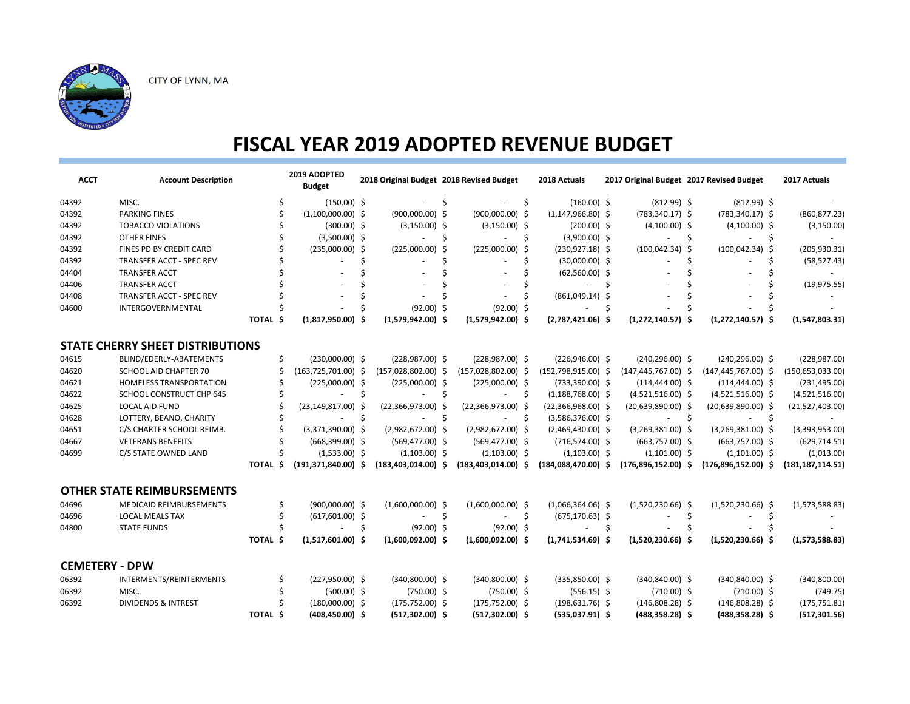

| <b>ACCT</b>           | <b>Account Description</b>              |                   | 2019 ADOPTED<br><b>Budget</b> |    | 2018 Original Budget 2018 Revised Budget |    |                       |     | 2018 Actuals          |    |                         |                    | 2017 Original Budget 2017 Revised Budget |     | 2017 Actuals       |
|-----------------------|-----------------------------------------|-------------------|-------------------------------|----|------------------------------------------|----|-----------------------|-----|-----------------------|----|-------------------------|--------------------|------------------------------------------|-----|--------------------|
| 04392                 | MISC.                                   |                   | $(150.00)$ \$                 |    |                                          | Ś  |                       | Ŝ   | $(160.00)$ \$         |    | $(812.99)$ \$           |                    | $(812.99)$ \$                            |     |                    |
| 04392                 | <b>PARKING FINES</b>                    |                   | $(1,100,000.00)$ \$           |    | $(900,000.00)$ \$                        |    | $(900,000.00)$ \$     |     | $(1, 147, 966.80)$ \$ |    | $(783, 340.17)$ \$      |                    | $(783, 340.17)$ \$                       |     | (860, 877.23)      |
| 04392                 | <b>TOBACCO VIOLATIONS</b>               |                   | $(300.00)$ \$                 |    | $(3,150.00)$ \$                          |    | $(3,150.00)$ \$       |     | $(200.00)$ \$         |    | $(4,100.00)$ \$         |                    | $(4,100.00)$ \$                          |     | (3, 150.00)        |
| 04392                 | <b>OTHER FINES</b>                      |                   | $(3,500.00)$ \$               |    |                                          | Ś  |                       | Ś   | $(3,900.00)$ \$       |    |                         | Ś                  |                                          | Ŝ.  |                    |
| 04392                 | FINES PD BY CREDIT CARD                 |                   | $(235,000.00)$ \$             |    | $(225,000.00)$ \$                        |    | $(225,000.00)$ \$     |     | $(230,927.18)$ \$     |    | $(100, 042.34)$ \$      |                    | $(100, 042.34)$ \$                       |     | (205, 930.31)      |
| 04392                 | <b>TRANSFER ACCT - SPEC REV</b>         |                   |                               |    |                                          | Ś  |                       |     | $(30,000.00)$ \$      |    |                         | Ś                  |                                          | Ś   | (58, 527.43)       |
| 04404                 | <b>TRANSFER ACCT</b>                    |                   |                               |    |                                          |    |                       |     | $(62,560.00)$ \$      |    |                         |                    |                                          |     |                    |
| 04406                 | <b>TRANSFER ACCT</b>                    |                   |                               |    |                                          |    |                       |     |                       | \$ |                         |                    |                                          |     | (19, 975.55)       |
| 04408                 | TRANSFER ACCT - SPEC REV                |                   |                               |    |                                          |    |                       |     | $(861,049.14)$ \$     |    |                         |                    |                                          |     |                    |
| 04600                 | INTERGOVERNMENTAL                       |                   |                               |    | $(92.00)$ \$                             |    | $(92.00)$ \$          |     |                       | \$ |                         |                    |                                          |     |                    |
|                       |                                         | TOTAL \$          | $(1,817,950.00)$ \$           |    | $(1,579,942.00)$ \$                      |    | $(1,579,942.00)$ \$   |     | $(2,787,421.06)$ \$   |    | $(1,272,140.57)$ \$     |                    | $(1, 272, 140.57)$ \$                    |     | (1,547,803.31)     |
|                       | <b>STATE CHERRY SHEET DISTRIBUTIONS</b> |                   |                               |    |                                          |    |                       |     |                       |    |                         |                    |                                          |     |                    |
| 04615                 | BLIND/EDERLY-ABATEMENTS                 |                   | Ś<br>$(230,000.00)$ \$        |    | $(228,987.00)$ \$                        |    | $(228,987.00)$ \$     |     | $(226,946.00)$ \$     |    | $(240, 296.00)$ \$      |                    | $(240, 296.00)$ \$                       |     | (228, 987.00)      |
| 04620                 | SCHOOL AID CHAPTER 70                   |                   | $(163, 725, 701.00)$ \$       |    | $(157,028,802.00)$ \$                    |    | (157,028,802.00) \$   |     | $(152,798,915.00)$ \$ |    | $(147, 445, 767.00)$ \$ |                    | $(147, 445, 767.00)$ \$                  |     | (150, 653, 033.00) |
| 04621                 | <b>HOMELESS TRANSPORTATION</b>          |                   | $(225,000.00)$ \$             |    | $(225,000.00)$ \$                        |    | $(225,000.00)$ \$     |     | $(733,390.00)$ \$     |    | $(114, 444.00)$ \$      |                    | $(114, 444.00)$ \$                       |     | (231, 495.00)      |
| 04622                 | SCHOOL CONSTRUCT CHP 645                |                   |                               | \$ |                                          | \$ |                       | -\$ | $(1, 188, 768.00)$ \$ |    | $(4,521,516.00)$ \$     |                    | $(4,521,516.00)$ \$                      |     | (4,521,516.00)     |
| 04625                 | <b>LOCAL AID FUND</b>                   |                   | $(23, 149, 817.00)$ \$        |    | $(22,366,973.00)$ \$                     |    | $(22,366,973.00)$ \$  |     | $(22,366,968.00)$ \$  |    | $(20, 639, 890.00)$ \$  |                    | $(20,639,890.00)$ \$                     |     | (21,527,403.00)    |
| 04628                 | LOTTERY, BEANO, CHARITY                 |                   |                               | \$ |                                          | \$ |                       | -\$ | $(3,586,376.00)$ \$   |    | ä,                      | $\mathsf{\hat{S}}$ | $\sim$                                   | S.  |                    |
| 04651                 | C/S CHARTER SCHOOL REIMB.               |                   | $(3,371,390.00)$ \$           |    | $(2,982,672.00)$ \$                      |    | $(2,982,672.00)$ \$   |     | $(2,469,430.00)$ \$   |    | $(3,269,381.00)$ \$     |                    | $(3,269,381.00)$ \$                      |     | (3,393,953.00)     |
| 04667                 | <b>VETERANS BENEFITS</b>                |                   | $(668,399.00)$ \$             |    | $(569, 477.00)$ \$                       |    | $(569, 477.00)$ \$    |     | $(716, 574.00)$ \$    |    | $(663,757.00)$ \$       |                    | $(663,757.00)$ \$                        |     | (629, 714.51)      |
| 04699                 | C/S STATE OWNED LAND                    |                   | $(1,533.00)$ \$               |    | $(1,103.00)$ \$                          |    | $(1,103.00)$ \$       |     | $(1,103.00)$ \$       |    | $(1,101.00)$ \$         |                    | $(1,101.00)$ \$                          |     | (1,013.00)         |
|                       |                                         | Ś<br><b>TOTAL</b> | $(191,371,840.00)$ \$         |    | $(183, 403, 014.00)$ \$                  |    | $(183,403,014.00)$ \$ |     | $(184,088,470.00)$ \$ |    | $(176,896,152.00)$ \$   |                    | (176,896,152.00)                         | Ŝ   | (181, 187, 114.51) |
|                       | <b>OTHER STATE REIMBURSEMENTS</b>       |                   |                               |    |                                          |    |                       |     |                       |    |                         |                    |                                          |     |                    |
| 04696                 | <b>MEDICAID REIMBURSEMENTS</b>          |                   | \$<br>$(900,000.00)$ \$       |    | $(1,600,000.00)$ \$                      |    | $(1,600,000.00)$ \$   |     | $(1,066,364.06)$ \$   |    | $(1,520,230.66)$ \$     |                    | $(1,520,230.66)$ \$                      |     | (1,573,588.83)     |
| 04696                 | <b>LOCAL MEALS TAX</b>                  |                   | \$<br>$(617,601.00)$ \$       |    |                                          | \$ |                       | \$  | $(675, 170.63)$ \$    |    |                         | \$                 |                                          | \$. |                    |
| 04800                 | <b>STATE FUNDS</b>                      |                   |                               | Ś  | $(92.00)$ \$                             |    | $(92.00)$ \$          |     |                       | Ŝ. |                         |                    |                                          |     |                    |
|                       |                                         | TOTAL \$          | $(1,517,601.00)$ \$           |    | $(1,600,092.00)$ \$                      |    | $(1,600,092.00)$ \$   |     | $(1,741,534.69)$ \$   |    | $(1,520,230.66)$ \$     |                    | $(1,520,230.66)$ \$                      |     | (1,573,588.83)     |
| <b>CEMETERY - DPW</b> |                                         |                   |                               |    |                                          |    |                       |     |                       |    |                         |                    |                                          |     |                    |
| 06392                 | INTERMENTS/REINTERMENTS                 |                   | $(227,950.00)$ \$<br>Ś        |    | $(340,800.00)$ \$                        |    | $(340,800.00)$ \$     |     | $(335,850.00)$ \$     |    | $(340, 840.00)$ \$      |                    | $(340, 840.00)$ \$                       |     | (340, 800.00)      |
| 06392                 | MISC.                                   |                   | $(500.00)$ \$                 |    | $(750.00)$ \$                            |    | $(750.00)$ \$         |     | $(556.15)$ \$         |    | $(710.00)$ \$           |                    | $(710.00)$ \$                            |     | (749.75)           |
| 06392                 | <b>DIVIDENDS &amp; INTREST</b>          |                   | $(180,000.00)$ \$             |    | $(175, 752.00)$ \$                       |    | $(175, 752.00)$ \$    |     | $(198, 631.76)$ \$    |    | $(146,808.28)$ \$       |                    | $(146,808.28)$ \$                        |     | (175, 751.81)      |
|                       |                                         | TOTAL \$          | $(408, 450.00)$ \$            |    | $(517,302.00)$ \$                        |    | $(517, 302.00)$ \$    |     | $(535,037.91)$ \$     |    | $(488, 358.28)$ \$      |                    | $(488, 358.28)$ \$                       |     | (517, 301.56)      |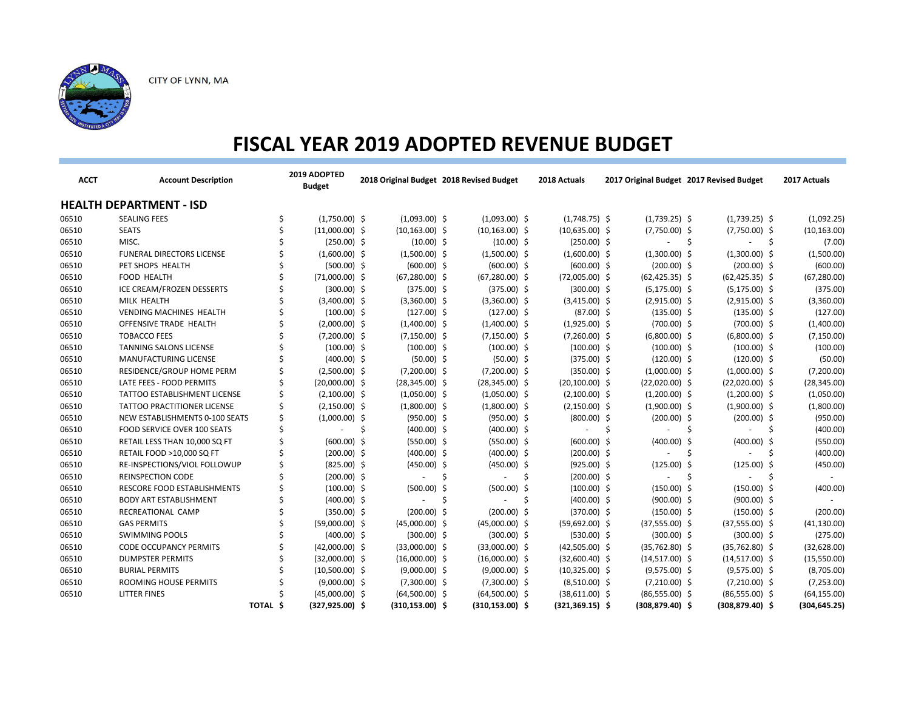

| <b>ACCT</b> | <b>Account Description</b>         |          | 2019 ADOPTED<br><b>Budget</b> |     |                    | 2018 Original Budget 2018 Revised Budget |    | 2018 Actuals       |                          | 2017 Original Budget 2017 Revised Budget |     | 2017 Actuals  |
|-------------|------------------------------------|----------|-------------------------------|-----|--------------------|------------------------------------------|----|--------------------|--------------------------|------------------------------------------|-----|---------------|
|             | <b>HEALTH DEPARTMENT - ISD</b>     |          |                               |     |                    |                                          |    |                    |                          |                                          |     |               |
| 06510       | <b>SEALING FEES</b>                |          | $(1,750.00)$ \$               |     | $(1,093.00)$ \$    | $(1,093.00)$ \$                          |    | $(1,748.75)$ \$    | $(1,739.25)$ \$          | $(1,739.25)$ \$                          |     | (1,092.25)    |
| 06510       | <b>SEATS</b>                       |          | $(11,000.00)$ \$              |     | $(10, 163.00)$ \$  | $(10, 163.00)$ \$                        |    | $(10,635.00)$ \$   | $(7,750.00)$ \$          | $(7,750.00)$ \$                          |     | (10, 163.00)  |
| 06510       | MISC.                              |          | $(250.00)$ \$                 |     | $(10.00)$ \$       | $(10.00)$ \$                             |    | $(250.00)$ \$      |                          |                                          | -S  | (7.00)        |
| 06510       | <b>FUNERAL DIRECTORS LICENSE</b>   |          | $(1,600.00)$ \$               |     | $(1,500.00)$ \$    | $(1,500.00)$ \$                          |    | $(1,600.00)$ \$    | $(1,300.00)$ \$          | $(1,300.00)$ \$                          |     | (1,500.00)    |
| 06510       | PET SHOPS HEALTH                   |          | $(500.00)$ \$                 |     | $(600.00)$ \$      | $(600.00)$ \$                            |    | $(600.00)$ \$      | $(200.00)$ \$            | $(200.00)$ \$                            |     | (600.00)      |
| 06510       | <b>FOOD HEALTH</b>                 |          | $(71,000.00)$ \$              |     | $(67,280.00)$ \$   | $(67, 280.00)$ \$                        |    | $(72,005.00)$ \$   | $(62, 425.35)$ \$        | $(62, 425.35)$ \$                        |     | (67, 280.00)  |
| 06510       | ICE CREAM/FROZEN DESSERTS          |          | $(300.00)$ \$                 |     | $(375.00)$ \$      | $(375.00)$ \$                            |    | $(300.00)$ \$      | $(5, 175.00)$ \$         | $(5, 175.00)$ \$                         |     | (375.00)      |
| 06510       | MILK HEALTH                        |          | $(3,400.00)$ \$               |     | $(3,360.00)$ \$    | $(3,360.00)$ \$                          |    | $(3,415.00)$ \$    | $(2,915.00)$ \$          | $(2,915.00)$ \$                          |     | (3,360.00)    |
| 06510       | <b>VENDING MACHINES HEALTH</b>     |          | $(100.00)$ \$                 |     | $(127.00)$ \$      | $(127.00)$ \$                            |    | $(87.00)$ \$       | $(135.00)$ \$            | $(135.00)$ \$                            |     | (127.00)      |
| 06510       | OFFENSIVE TRADE HEALTH             |          | $(2,000.00)$ \$               |     | $(1,400.00)$ \$    | $(1,400.00)$ \$                          |    | $(1,925.00)$ \$    | $(700.00)$ \$            | $(700.00)$ \$                            |     | (1,400.00)    |
| 06510       | <b>TOBACCO FEES</b>                |          | $(7,200.00)$ \$               |     | $(7,150.00)$ \$    | $(7, 150.00)$ \$                         |    | $(7,260.00)$ \$    | $(6,800.00)$ \$          | $(6,800.00)$ \$                          |     | (7, 150.00)   |
| 06510       | TANNING SALONS LICENSE             |          | $(100.00)$ \$                 |     | $(100.00)$ \$      | $(100.00)$ \$                            |    | $(100.00)$ \$      | $(100.00)$ \$            | $(100.00)$ \$                            |     | (100.00)      |
| 06510       | MANUFACTURING LICENSE              |          | $(400.00)$ \$                 |     | $(50.00)$ \$       | $(50.00)$ \$                             |    | $(375.00)$ \$      | $(120.00)$ \$            | $(120.00)$ \$                            |     | (50.00)       |
| 06510       | RESIDENCE/GROUP HOME PERM          |          | $(2,500.00)$ \$               |     | $(7,200.00)$ \$    | $(7,200.00)$ \$                          |    | $(350.00)$ \$      | $(1,000.00)$ \$          | $(1,000.00)$ \$                          |     | (7,200.00)    |
| 06510       | LATE FEES - FOOD PERMITS           |          | $(20,000.00)$ \$              |     | $(28, 345.00)$ \$  | $(28, 345.00)$ \$                        |    | $(20, 100.00)$ \$  | $(22,020.00)$ \$         | $(22,020.00)$ \$                         |     | (28, 345.00)  |
| 06510       | TATTOO ESTABLISHMENT LICENSE       |          | $(2,100.00)$ \$               |     | $(1,050.00)$ \$    | $(1,050.00)$ \$                          |    | $(2,100.00)$ \$    | $(1,200.00)$ \$          | $(1,200.00)$ \$                          |     | (1,050.00)    |
| 06510       | <b>TATTOO PRACTITIONER LICENSE</b> |          | $(2,150.00)$ \$               |     | $(1,800.00)$ \$    | $(1,800.00)$ \$                          |    | $(2,150.00)$ \$    | $(1,900.00)$ \$          | $(1,900.00)$ \$                          |     | (1,800.00)    |
| 06510       | NEW ESTABLISHMENTS 0-100 SEATS     |          | $(1,000.00)$ \$               |     | $(950.00)$ \$      | $(950.00)$ \$                            |    | $(800.00)$ \$      | $(200.00)$ \$            | $(200.00)$ \$                            |     | (950.00)      |
| 06510       | FOOD SERVICE OVER 100 SEATS        |          |                               | \$. | $(400.00)$ \$      | $(400.00)$ \$                            |    |                    | -S                       | -S                                       | -S  | (400.00)      |
| 06510       | RETAIL LESS THAN 10,000 SQ FT      |          | $(600.00)$ \$                 |     | $(550.00)$ \$      | $(550.00)$ \$                            |    | $(600.00)$ \$      | $(400.00)$ \$            | $(400.00)$ \$                            |     | (550.00)      |
| 06510       | RETAIL FOOD >10,000 SQ FT          |          | $(200.00)$ \$                 |     | $(400.00)$ \$      | $(400.00)$ \$                            |    | $(200.00)$ \$      | $\overline{\phantom{a}}$ | -Ś<br>÷                                  | -\$ | (400.00)      |
| 06510       | RE-INSPECTIONS/VIOL FOLLOWUP       |          | $(825.00)$ \$                 |     | $(450.00)$ \$      | $(450.00)$ \$                            |    | $(925.00)$ \$      | $(125.00)$ \$            | $(125.00)$ \$                            |     | (450.00)      |
| 06510       | <b>REINSPECTION CODE</b>           |          | $(200.00)$ \$                 |     |                    | -S                                       | -S | $(200.00)$ \$      | $\overline{\phantom{a}}$ | -S                                       | Ŝ.  |               |
| 06510       | RESCORE FOOD ESTABLISHMENTS        |          | $(100.00)$ \$                 |     | $(500.00)$ \$      | $(500.00)$ \$                            |    | $(100.00)$ \$      | $(150.00)$ \$            | $(150.00)$ \$                            |     | (400.00)      |
| 06510       | <b>BODY ART ESTABLISHMENT</b>      |          | $(400.00)$ \$                 |     | ÷                  | -Ś<br>$\blacksquare$                     | Ŝ  | $(400.00)$ \$      | $(900.00)$ \$            | $(900.00)$ \$                            |     | $\sim$        |
| 06510       | RECREATIONAL CAMP                  |          | $(350.00)$ \$                 |     | $(200.00)$ \$      | $(200.00)$ \$                            |    | $(370.00)$ \$      | $(150.00)$ \$            | $(150.00)$ \$                            |     | (200.00)      |
| 06510       | <b>GAS PERMITS</b>                 |          | $(59,000.00)$ \$              |     | $(45,000.00)$ \$   | $(45,000.00)$ \$                         |    | $(59,692.00)$ \$   | $(37,555.00)$ \$         | $(37,555.00)$ \$                         |     | (41, 130.00)  |
| 06510       | <b>SWIMMING POOLS</b>              |          | $(400.00)$ \$                 |     | $(300.00)$ \$      | $(300.00)$ \$                            |    | $(530.00)$ \$      | $(300.00)$ \$            | $(300.00)$ \$                            |     | (275.00)      |
| 06510       | <b>CODE OCCUPANCY PERMITS</b>      |          | $(42,000.00)$ \$              |     | $(33,000.00)$ \$   | $(33,000.00)$ \$                         |    | $(42,505.00)$ \$   | $(35,762.80)$ \$         | $(35,762.80)$ \$                         |     | (32,628.00)   |
| 06510       | <b>DUMPSTER PERMITS</b>            |          | $(32,000.00)$ \$              |     | $(16,000.00)$ \$   | $(16,000.00)$ \$                         |    | $(32,600.40)$ \$   | $(14,517.00)$ \$         | $(14,517.00)$ \$                         |     | (15,550.00)   |
| 06510       | <b>BURIAL PERMITS</b>              |          | $(10,500.00)$ \$              |     | $(9,000.00)$ \$    | $(9,000.00)$ \$                          |    | $(10,325.00)$ \$   | $(9,575.00)$ \$          | $(9,575.00)$ \$                          |     | (8,705.00)    |
| 06510       | ROOMING HOUSE PERMITS              |          | $(9,000.00)$ \$               |     | $(7,300.00)$ \$    | $(7,300.00)$ \$                          |    | $(8,510.00)$ \$    | $(7,210.00)$ \$          | $(7,210.00)$ \$                          |     | (7,253.00)    |
| 06510       | <b>LITTER FINES</b>                |          | $(45,000.00)$ \$              |     | $(64,500.00)$ \$   | $(64,500.00)$ \$                         |    | $(38,611.00)$ \$   | $(86,555.00)$ \$         | $(86,555.00)$ \$                         |     | (64, 155.00)  |
|             |                                    | TOTAL \$ | $(327, 925.00)$ \$            |     | $(310, 153.00)$ \$ | $(310, 153.00)$ \$                       |    | $(321, 369.15)$ \$ | $(308, 879.40)$ \$       | $(308, 879.40)$ \$                       |     | (304, 645.25) |